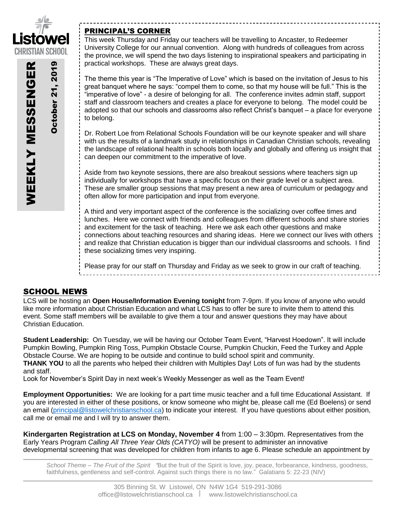

October 21, 2019

**Detober 21, 2019** 

WEEKLY MESSENGER

**WEEKLY MESSENGER** 

# PRINCIPAL'S CORNER

This week Thursday and Friday our teachers will be travelling to Ancaster, to Redeemer University College for our annual convention. Along with hundreds of colleagues from across the province, we will spend the two days listening to inspirational speakers and participating in practical workshops. These are always great days.

The theme this year is "The Imperative of Love" which is based on the invitation of Jesus to his great banquet where he says: "compel them to come, so that my house will be full." This is the "imperative of love" - a desire of belonging for all. The conference invites admin staff, support staff and classroom teachers and creates a place for everyone to belong. The model could be adopted so that our schools and classrooms also reflect Christ's banquet – a place for everyone to belong.

Dr. Robert Loe from Relational Schools Foundation will be our keynote speaker and will share with us the results of a landmark study in relationships in Canadian Christian schools, revealing the landscape of relational health in schools both locally and globally and offering us insight that can deepen our commitment to the imperative of love.

Aside from two keynote sessions, there are also breakout sessions where teachers sign up individually for workshops that have a specific focus on their grade level or a subject area. These are smaller group sessions that may present a new area of curriculum or pedagogy and often allow for more participation and input from everyone.

A third and very important aspect of the conference is the socializing over coffee times and lunches. Here we connect with friends and colleagues from different schools and share stories and excitement for the task of teaching. Here we ask each other questions and make connections about teaching resources and sharing ideas. Here we connect our lives with others and realize that Christian education is bigger than our individual classrooms and schools. I find these socializing times very inspiring.

Please pray for our staff on Thursday and Friday as we seek to grow in our craft of teaching.

# SCHOOL NEWS

LCS will be hosting an **Open House/Information Evening tonight** from 7-9pm. If you know of anyone who would like more information about Christian Education and what LCS has to offer be sure to invite them to attend this event. Some staff members will be available to give them a tour and answer questions they may have about Christian Education.

**Student Leadership:** On Tuesday, we will be having our October Team Event, "Harvest Hoedown". It will include Pumpkin Bowling, Pumpkin Ring Toss, Pumpkin Obstacle Course, Pumpkin Chuckin, Feed the Turkey and Apple Obstacle Course. We are hoping to be outside and continue to build school spirit and community. **THANK YOU** to all the parents who helped their children with Multiples Day! Lots of fun was had by the students and staff.

Look for November's Spirit Day in next week's Weekly Messenger as well as the Team Event!

**Employment Opportunities:** We are looking for a part time music teacher and a full time Educational Assistant. If you are interested in either of these positions, or know someone who might be, please call me (Ed Boelens) or send an email [\(principal@listowelchristianschool.ca\)](mailto:principal@listowelchristianschool.ca) to indicate your interest. If you have questions about either position, call me or email me and I will try to answer them.

**Kindergarten Registration at LCS on Monday, November 4** from 1:00 – 3:30pm. Representatives from the Early Years Program *Calling All Three Year Olds (CATYO)* will be present to administer an innovative developmental screening that was developed for children from infants to age 6. Please schedule an appointment by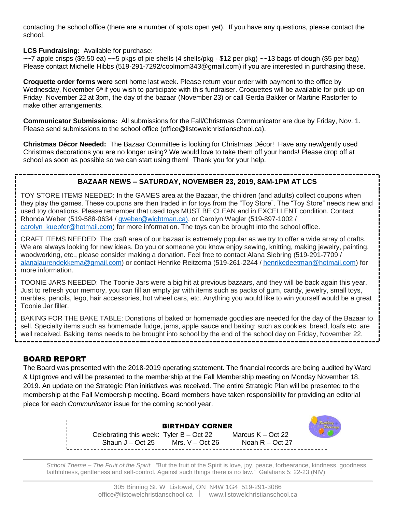contacting the school office (there are a number of spots open yet). If you have any questions, please contact the school.

**LCS Fundraising:** Available for purchase:

 $\sim$ 7 apple crisps (\$9.50 ea)  $\sim$  5 pkgs of pie shells (4 shells/pkg - \$12 per pkg)  $\sim$  13 bags of dough (\$5 per bag) Please contact Michelle Hibbs (519-291-7292/coolmom343@gmail.com) if you are interested in purchasing these.

**Croquette order forms were** sent home last week. Please return your order with payment to the office by Wednesday, November  $6<sup>th</sup>$  if you wish to participate with this fundraiser. Croquettes will be available for pick up on Friday, November 22 at 3pm, the day of the bazaar (November 23) or call Gerda Bakker or Martine Rastorfer to make other arrangements.

**Communicator Submissions:** All submissions for the Fall/Christmas Communicator are due by Friday, Nov. 1. Please send submissions to the school office (office@listowelchristianschool.ca).

**Christmas Décor Needed:** The Bazaar Committee is looking for Christmas Décor! Have any new/gently used Christmas decorations you are no longer using? We would love to take them off your hands! Please drop off at school as soon as possible so we can start using them! Thank you for your help.

# **BAZAAR NEWS – SATURDAY, NOVEMBER 23, 2019, 8AM-1PM AT LCS**

TOY STORE ITEMS NEEDED: In the GAMES area at the Bazaar, the children (and adults) collect coupons when they play the games. These coupons are then traded in for toys from the "Toy Store". The "Toy Store" needs new and used toy donations. Please remember that used toys MUST BE CLEAN and in EXCELLENT condition. Contact Rhonda Weber (519-588-0634 / [gweber@wightman.ca\)](mailto:gweber@wightman.ca), or Carolyn Wagler (519-897-1002 / [carolyn\\_kuepfer@hotmail.com\)](mailto:carolyn_kuepfer@hotmail.com) for more information. The toys can be brought into the school office.

CRAFT ITEMS NEEDED: The craft area of our bazaar is extremely popular as we try to offer a wide array of crafts. We are always looking for new ideas. Do you or someone you know enjoy sewing, knitting, making jewelry, painting, woodworking, etc., please consider making a donation. Feel free to contact Alana Siebring (519-291-7709 / [alanalaurendekkema@gmail.com\)](mailto:alanalaurendekkema@gmail.com) or contact Henrike Reitzema (519-261-2244 / [henrikedeetman@hotmail.com\)](mailto:henrikedeetman@hotmail.com) for more information.

TOONIE JARS NEEDED: The Toonie Jars were a big hit at previous bazaars, and they will be back again this year. Just to refresh your memory, you can fill an empty jar with items such as packs of gum, candy, jewelry, small toys, marbles, pencils, lego, hair accessories, hot wheel cars, etc. Anything you would like to win yourself would be a great Toonie Jar filler.

BAKING FOR THE BAKE TABLE: Donations of baked or homemade goodies are needed for the day of the Bazaar to sell. Specialty items such as homemade fudge, jams, apple sauce and baking: such as cookies, bread, loafs etc. are well received. Baking items needs to be brought into school by the end of the school day on Friday, November 22.

# BOARD REPORT

The Board was presented with the 2018-2019 operating statement. The financial records are being audited by Ward & Uptigrove and will be presented to the membership at the Fall Membership meeting on Monday November 18, 2019. An update on the Strategic Plan initiatives was received. The entire Strategic Plan will be presented to the membership at the Fall Membership meeting. Board members have taken responsibility for providing an editorial piece for each *Communicator* issue for the coming school year.

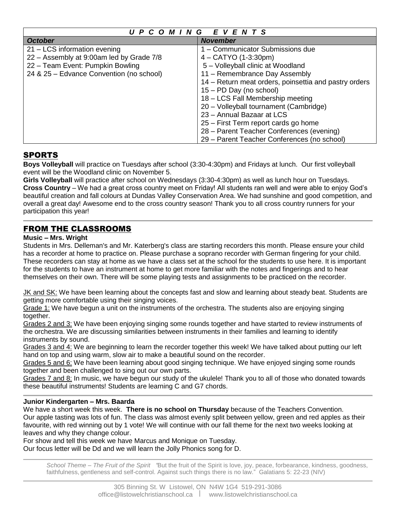| UPCOMING EVENTS                          |                                                       |
|------------------------------------------|-------------------------------------------------------|
| <b>October</b>                           | <b>November</b>                                       |
| 21 – LCS information evening             | 1 - Communicator Submissions due                      |
| 22 - Assembly at 9:00am led by Grade 7/8 | $4 - \text{CATYO} (1-3:30 \text{pm})$                 |
| 22 - Team Event: Pumpkin Bowling         | 5 - Volleyball clinic at Woodland                     |
| 24 & 25 - Edvance Convention (no school) | 11 - Remembrance Day Assembly                         |
|                                          | 14 – Return meat orders, poinsettia and pastry orders |
|                                          | 15 - PD Day (no school)                               |
|                                          | 18 - LCS Fall Membership meeting                      |
|                                          | 20 - Volleyball tournament (Cambridge)                |
|                                          | 23 - Annual Bazaar at LCS                             |
|                                          | 25 – First Term report cards go home                  |
|                                          | 28 - Parent Teacher Conferences (evening)             |
|                                          | 29 – Parent Teacher Conferences (no school)           |

# **SPORTS**

**Boys Volleyball** will practice on Tuesdays after school (3:30-4:30pm) and Fridays at lunch. Our first volleyball event will be the Woodland clinic on November 5.

**Girls Volleyball** will practice after school on Wednesdays (3:30-4:30pm) as well as lunch hour on Tuesdays. **Cross Country** – We had a great cross country meet on Friday! All students ran well and were able to enjoy God's beautiful creation and fall colours at Dundas Valley Conservation Area. We had sunshine and good competition, and overall a great day! Awesome end to the cross country season! Thank you to all cross country runners for your participation this year!

# FROM THE CLASSROOMS

## **Music – Mrs. Wright**

Students in Mrs. Delleman's and Mr. Katerberg's class are starting recorders this month. Please ensure your child has a recorder at home to practice on. Please purchase a soprano recorder with German fingering for your child. These recorders can stay at home as we have a class set at the school for the students to use here. It is important for the students to have an instrument at home to get more familiar with the notes and fingerings and to hear themselves on their own. There will be some playing tests and assignments to be practiced on the recorder.

JK and SK: We have been learning about the concepts fast and slow and learning about steady beat. Students are getting more comfortable using their singing voices.

Grade 1: We have begun a unit on the instruments of the orchestra. The students also are enjoying singing together.

Grades 2 and 3: We have been enjoying singing some rounds together and have started to review instruments of the orchestra. We are discussing similarities between instruments in their families and learning to identify instruments by sound.

Grades 3 and 4: We are beginning to learn the recorder together this week! We have talked about putting our left hand on top and using warm, slow air to make a beautiful sound on the recorder.

Grades 5 and 6: We have been learning about good singing technique. We have enjoyed singing some rounds together and been challenged to sing out our own parts.

Grades 7 and 8: In music, we have begun our study of the ukulele! Thank you to all of those who donated towards these beautiful instruments! Students are learning C and G7 chords.

## **Junior Kindergarten – Mrs. Baarda**

We have a short week this week. **There is no school on Thursday** because of the Teachers Convention. Our apple tasting was lots of fun. The class was almost evenly split between yellow, green and red apples as their favourite, with red winning out by 1 vote! We will continue with our fall theme for the next two weeks looking at leaves and why they change colour.

For show and tell this week we have Marcus and Monique on Tuesday. Our focus letter will be Dd and we will learn the Jolly Phonics song for D.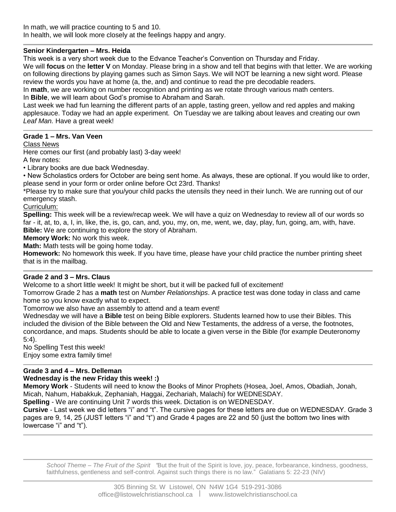# **Senior Kindergarten – Mrs. Heida**

This week is a very short week due to the Edvance Teacher's Convention on Thursday and Friday.

We will **focus** on the **letter V** on Monday. Please bring in a show and tell that begins with that letter. We are working on following directions by playing games such as Simon Says. We will NOT be learning a new sight word. Please review the words you have at home (a, the, and) and continue to read the pre decodable readers.

In **math**, we are working on number recognition and printing as we rotate through various math centers. In **Bible**, we will learn about God's promise to Abraham and Sarah.

Last week we had fun learning the different parts of an apple, tasting green, yellow and red apples and making applesauce. Today we had an apple experiment. On Tuesday we are talking about leaves and creating our own *Leaf Man.* Have a great week!

## **Grade 1 – Mrs. Van Veen**

#### Class News

Here comes our first (and probably last) 3-day week!

A few notes:

• Library books are due back Wednesday.

• New Scholastics orders for October are being sent home. As always, these are optional. If you would like to order, please send in your form or order online before Oct 23rd. Thanks!

\*Please try to make sure that you/your child packs the utensils they need in their lunch. We are running out of our emergency stash.

#### Curriculum:

**Spelling:** This week will be a review/recap week. We will have a quiz on Wednesday to review all of our words so far - it, at, to, a, I, in, like, the, is, go, can, and, you, my, on, me, went, we, day, play, fun, going, am, with, have. **Bible:** We are continuing to explore the story of Abraham.

**Memory Work:** No work this week.

**Math:** Math tests will be going home today.

**Homework:** No homework this week. If you have time, please have your child practice the number printing sheet that is in the mailbag.

## **Grade 2 and 3 – Mrs. Claus**

Welcome to a short little week! It might be short, but it will be packed full of excitement!

Tomorrow Grade 2 has a **math** test on *Number Relationships*. A practice test was done today in class and came home so you know exactly what to expect.

Tomorrow we also have an assembly to attend and a team event!

Wednesday we will have a **Bible** test on being Bible explorers. Students learned how to use their Bibles. This included the division of the Bible between the Old and New Testaments, the address of a verse, the footnotes, concordance, and maps. Students should be able to locate a given verse in the Bible (for example Deuteronomy 5:4).

No Spelling Test this week! Enjoy some extra family time!

## **Grade 3 and 4 – Mrs. Delleman**

## **Wednesday is the new Friday this week! :)**

**Memory Work** - Students will need to know the Books of Minor Prophets (Hosea, Joel, Amos, Obadiah, Jonah, Micah, Nahum, Habakkuk, Zephaniah, Haggai, Zechariah, Malachi) for WEDNESDAY.

**Spelling** - We are continuing Unit 7 words this week. Dictation is on WEDNESDAY.

**Cursive** - Last week we did letters "i" and "t". The cursive pages for these letters are due on WEDNESDAY. Grade 3 pages are 9, 14, 25 (JUST letters "i" and "t") and Grade 4 pages are 22 and 50 (just the bottom two lines with lowercase "i" and "t").